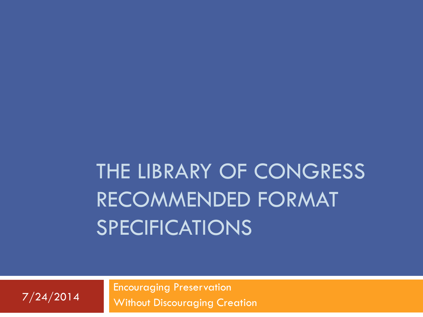# THE LIBRARY OF CONGRESS RECOMMENDED FORMAT SPECIFICATIONS

Encouraging Preservation Without Discouraging Creation 7/24/2014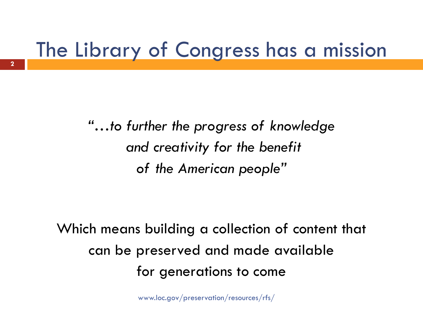#### The Library of Congress has a mission

*"…to further the progress of knowledge and creativity for the benefit of the American people"*

Which means building a collection of content that can be preserved and made available for generations to come

www.loc.gov/preservation/resources/rfs/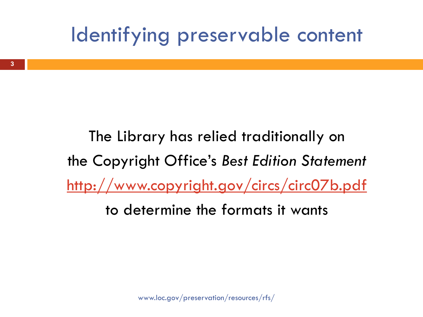### Identifying preservable content

The Library has relied traditionally on the Copyright Office's *Best Edition Statement* <http://www.copyright.gov/circs/circ07b.pdf> to determine the formats it wants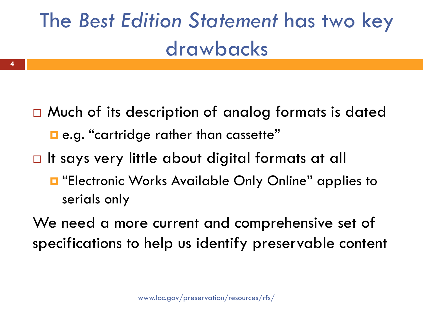# The *Best Edition Statement* has two key drawbacks

- $\Box$  Much of its description of analog formats is dated e.g. "cartridge rather than cassette"
- $\Box$  It says very little about digital formats at all

**4**

- $\blacksquare$  "Electronic Works Available Only Online" applies to serials only
- We need a more current and comprehensive set of specifications to help us identify preservable content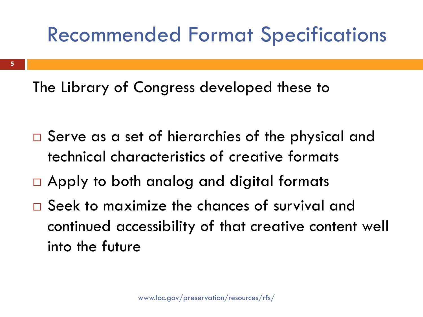### Recommended Format Specifications

The Library of Congress developed these to

- □ Serve as a set of hierarchies of the physical and technical characteristics of creative formats
- □ Apply to both analog and digital formats
- □ Seek to maximize the chances of survival and continued accessibility of that creative content well into the future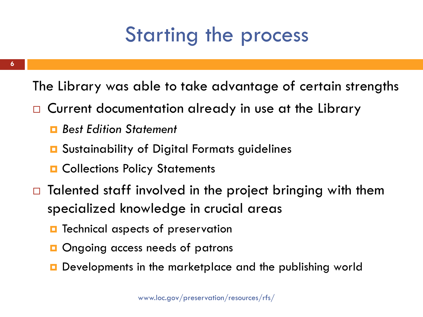### Starting the process

The Library was able to take advantage of certain strengths

- □ Current documentation already in use at the Library
	- *Best Edition Statement*
	- **□** Sustainability of Digital Formats guidelines
	- **D** Collections Policy Statements
- $\Box$  Talented staff involved in the project bringing with them specialized knowledge in crucial areas
	- Technical aspects of preservation
	- Ongoing access needs of patrons
	- **Developments in the marketplace and the publishing world**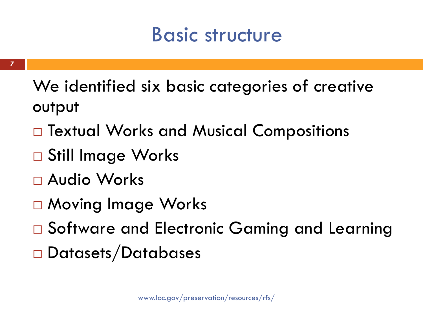### Basic structure

- We identified six basic categories of creative output
- □ Textual Works and Musical Compositions
- □ Still Image Works
- Audio Works
- □ Moving Image Works
- □ Software and Electronic Gaming and Learning
- □ Datasets/Databases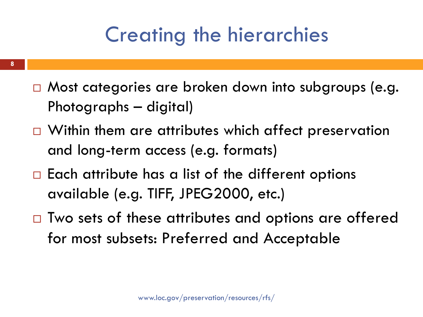### Creating the hierarchies

- □ Most categories are broken down into subgroups (e.g. Photographs – digital)
- $\Box$  Within them are attributes which affect preservation and long-term access (e.g. formats)
- $\Box$  Each attribute has a list of the different options available (e.g. TIFF, JPEG2000, etc.)
- $\Box$  Two sets of these attributes and options are offered for most subsets: Preferred and Acceptable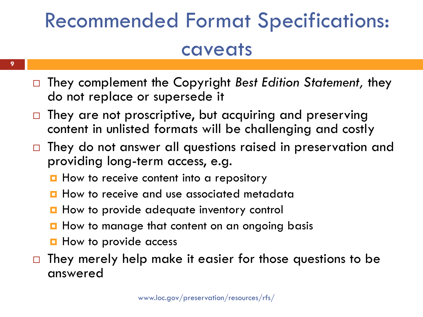# Recommended Format Specifications: caveats

- They complement the Copyright *Best Edition Statement,* they do not replace or supersede it
- $\Box$  They are not proscriptive, but acquiring and preserving content in unlisted formats will be challenging and costly
- $\Box$  They do not answer all questions raised in preservation and providing long-term access, e.g.
	- $\blacksquare$  How to receive content into a repository
	- **How to receive and use associated metadata**
	- **How to provide adequate inventory control**
	- **H** How to manage that content on an ongoing basis
	- **H** How to provide access
- $\Box$  They merely help make it easier for those questions to be answered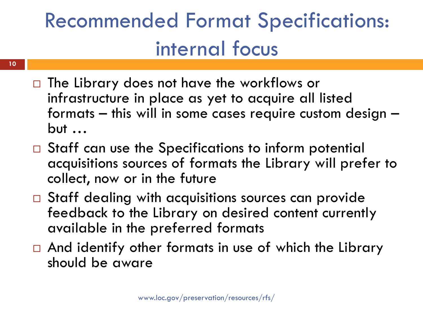## Recommended Format Specifications: internal focus

- $\Box$  The Library does not have the workflows or infrastructure in place as yet to acquire all listed formats – this will in some cases require custom design –  $but \dots$
- $\Box$  Staff can use the Specifications to inform potential acquisitions sources of formats the Library will prefer to collect, now or in the future
- □ Staff dealing with acquisitions sources can provide feedback to the Library on desired content currently available in the preferred formats
- $\Box$  And identify other formats in use of which the Library should be aware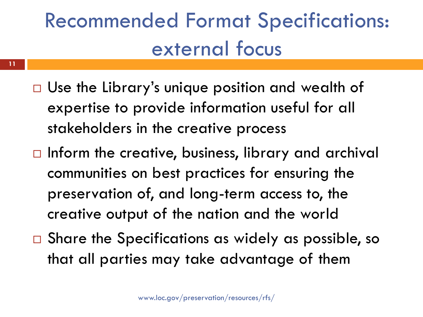## Recommended Format Specifications: external focus

- □ Use the Library's unique position and wealth of expertise to provide information useful for all stakeholders in the creative process
- $\Box$  Inform the creative, business, library and archival communities on best practices for ensuring the preservation of, and long-term access to, the creative output of the nation and the world
- $\Box$  Share the Specifications as widely as possible, so that all parties may take advantage of them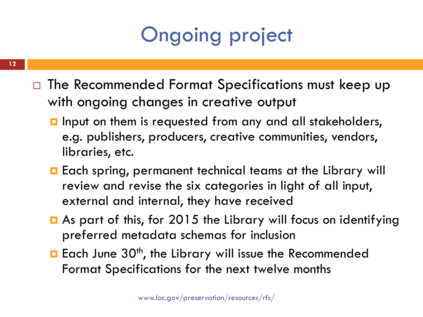### Ongoing project

- $\Box$  The Recommended Format Specifications must keep up with ongoing changes in creative output
	- **I** Input on them is requested from any and all stakeholders, e.g. publishers, producers, creative communities, vendors, libraries, etc.
	- **Each spring, permanent technical teams at the Library will** review and revise the six categories in light of all input, external and internal, they have received
	- As part of this, for 2015 the Library will focus on identifying preferred metadata schemas for inclusion
	- **Each June 30<sup>th</sup>, the Library will issue the Recommended** Format Specifications for the next twelve months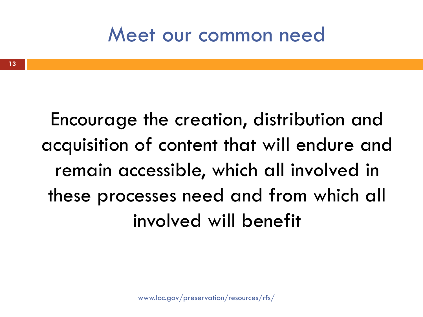#### Meet our common need

Encourage the creation, distribution and acquisition of content that will endure and remain accessible, which all involved in these processes need and from which all involved will benefit